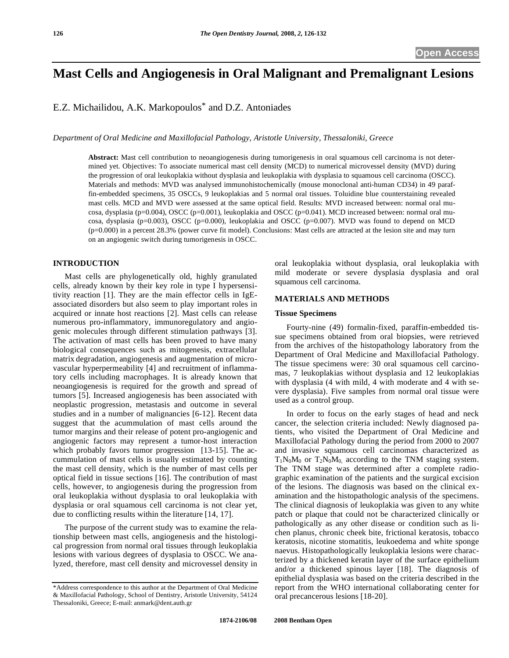# **Mast Cells and Angiogenesis in Oral Malignant and Premalignant Lesions**

E.Z. Michailidou, A.K. Markopoulos\* and D.Z. Antoniades

*Department of Oral Medicine and Maxillofacial Pathology, Aristotle University, Thessaloniki, Greece* 

**Abstract:** Mast cell contribution to neoangiogenesis during tumorigenesis in oral squamous cell carcinoma is not determined yet. Objectives: To associate numerical mast cell density (MCD) to numerical microvessel density (MVD) during the progression of oral leukoplakia without dysplasia and leukoplakia with dysplasia to squamous cell carcinoma (OSCC). Materials and methods: MVD was analysed immunohistochemically (mouse monoclonal anti-human CD34) in 49 paraffin-embedded specimens, 35 OSCCs, 9 leukoplakias and 5 normal oral tissues. Toluidine blue counterstaining revealed mast cells. MCD and MVD were assessed at the same optical field. Results: MVD increased between: normal oral mucosa, dysplasia (p=0.004), OSCC (p=0.001), leukoplakia and OSCC (p=0.041). MCD increased between: normal oral mucosa, dysplasia (p=0.003), OSCC (p=0.000), leukoplakia and OSCC (p=0.007). MVD was found to depend on MCD (p=0.000) in a percent 28.3% (power curve fit model). Conclusions: Mast cells are attracted at the lesion site and may turn on an angiogenic switch during tumorigenesis in OSCC.

# **INTRODUCTION**

 Mast cells are phylogenetically old, highly granulated cells, already known by their key role in type I hypersensitivity reaction [1]. They are the main effector cells in IgEassociated disorders but also seem to play important roles in acquired or innate host reactions [2]. Mast cells can release numerous pro-inflammatory, immunoregulatory and angiogenic molecules through different stimulation pathways [3]. The activation of mast cells has been proved to have many biological consequences such as mitogenesis, extracellular matrix degradation, angiogenesis and augmentation of microvascular hyperpermeability [4] and recruitment of inflammatory cells including macrophages. It is already known that neoangiogenesis is required for the growth and spread of tumors [5]. Increased angiogenesis has been associated with neoplastic progression, metastasis and outcome in several studies and in a number of malignancies [6-12]. Recent data suggest that the acummulation of mast cells around the tumor margins and their release of potent pro-angiogenic and angiogenic factors may represent a tumor-host interaction which probably favors tumor progression [13-15]. The accummulation of mast cells is usually estimated by counting the mast cell density, which is the number of mast cells per optical field in tissue sections [16]. The contribution of mast cells, however, to angiogenesis during the progression from oral leukoplakia without dysplasia to oral leukoplakia with dysplasia or oral squamous cell carcinoma is not clear yet, due to conflicting results within the literature [14, 17].

 The purpose of the current study was to examine the relationship between mast cells, angiogenesis and the histological progression from normal oral tissues through leukoplakia lesions with various degrees of dysplasia to OSCC. We analyzed, therefore, mast cell density and microvessel density in oral leukoplakia without dysplasia, oral leukoplakia with mild moderate or severe dysplasia dysplasia and oral squamous cell carcinoma.

#### **MATERIALS AND METHODS**

#### **Tissue Specimens**

 Fourty-nine (49) formalin-fixed, paraffin-embedded tissue specimens obtained from oral biopsies, were retrieved from the archives of the histopathology laboratory from the Department of Oral Medicine and Maxillofacial Pathology. The tissue specimens were: 30 oral squamous cell carcinomas, 7 leukoplakias without dysplasia and 12 leukoplakias with dysplasia (4 with mild, 4 with moderate and 4 with severe dysplasia). Five samples from normal oral tissue were used as a control group.

 In order to focus on the early stages of head and neck cancer, the selection criteria included: Newly diagnosed patients, who visited the Department of Oral Medicine and Maxillofacial Pathology during the period from 2000 to 2007 and invasive squamous cell carcinomas characterized as  $T_1N_0M_0$  or  $T_2N_0M_0$  according to the TNM staging system. The TNM stage was determined after a complete radiographic examination of the patients and the surgical excision of the lesions. The diagnosis was based on the clinical examination and the histopathologic analysis of the specimens. The clinical diagnosis of leukoplakia was given to any white patch or plaque that could not be characterized clinically or pathologically as any other disease or condition such as lichen planus, chronic cheek bite, frictional keratosis, tobacco keratosis, nicotine stomatitis, leukoedema and white sponge naevus. Histopathologically leukoplakia lesions were characterized by a thickened keratin layer of the surface epithelium and/or a thickened spinous layer [18]. The diagnosis of epithelial dysplasia was based on the criteria described in the report from the WHO international collaborating center for oral precancerous lesions [18-20].

<sup>\*</sup>Address correspondence to this author at the Department of Oral Medicine & Maxillofacial Pathology, School of Dentistry, Aristotle University, 54124 Thessaloniki, Greece; E-mail: anmark@dent.auth.gr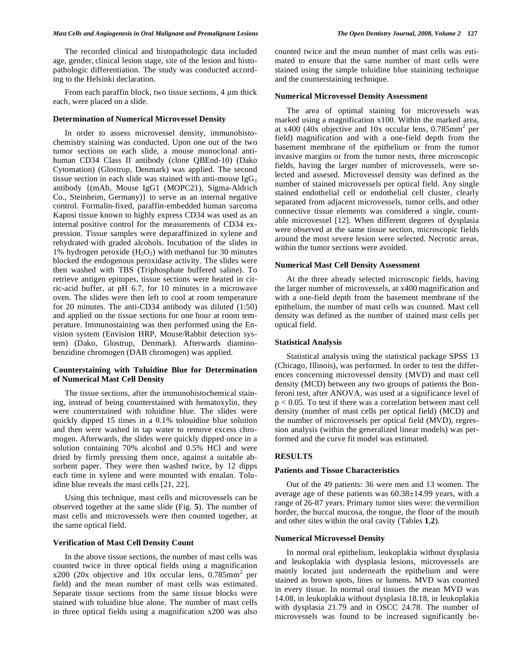The recorded clinical and histopathologic data included age, gender, clinical lesion stage, site of the lesion and histopathologic differentiation. The study was conducted according to the Helsinki declaration.

From each paraffin block, two tissue sections,  $4 \mu m$  thick each, were placed on a slide.

# **Determination of Numerical Microvessel Density**

 In order to assess microvessel density, immunohistochemistry staining was conducted. Upon one out of the two tumor sections on each slide, a mouse monoclonal antihuman CD34 Class II antibody (clone QBEnd-10) (Dako Cytomation) (Glostrup, Denmark) was applied. The second tissue section in each slide was stained with anti-mouse  $IgG<sub>1</sub>$ antibody {(mAb, Mouse IgG1 (MOPC21), Sigma-Aldrich Co., Steinheim, Germany)} to serve as an internal negative control. Formalin-fixed, paraffin-embedded human sarcoma Kaposi tissue known to highly express CD34 was used as an internal positive control for the measurements of CD34 expression. Tissue samples were deparaffinized in xylene and rehydrated with graded alcohols. Incubation of the slides in 1% hydrogen peroxide  $(H_2O_2)$  with methanol for 30 minutes blocked the endogenous peroxidase activity. The slides were then washed with TBS (Triphosphate buffered saline). To retrieve antigen epitopes, tissue sections were heated in citric-acid buffer, at pH 6.7, for 10 minutes in a microwave oven. The slides were then left to cool at room temperature for 20 minutes. The anti-CD34 antibody was diluted (1:50) and applied on the tissue sections for one hour at room temperature. Immunostaining was then performed using the Envision system (Envision HRP, Mouse/Rabbit detection system) (Dako, Glostrup, Denmark). Afterwards diaminobenzidine chromogen (DAB chromogen) was applied.

# **Counterstaining with Toluidine Blue for Determination of Numerical Mast Cell Density**

 The tissue sections, after the immunohistochemical staining, instead of being counterstained with hematoxylin, they were counterstained with toluidine blue. The slides were quickly dipped 15 times in a 0.1% tolouidine blue solution and then were washed in tap water to remove excess chromogen. Afterwards, the slides were quickly dipped once in a solution containing 70% alcohol and 0.5% HCl and were dried by firmly pressing them once, against a suitable absorbent paper. They were then washed twice, by 12 dipps each time in xylene and were mounted with entalan. Toluidine blue reveals the mast cells [21, 22].

 Using this technique, mast cells and microvessels can be observed together at the same slide (Fig. **5**). The number of mast cells and microvessels were then counted together, at the same optical field.

# **Verification of Mast Cell Density Count**

 In the above tissue sections, the number of mast cells was counted twice in three optical fields using a magnification  $x200$  (20x objective and 10x occular lens, 0.785mm<sup>2</sup> per field) and the mean number of mast cells was estimated. Separate tissue sections from the same tissue blocks were stained with toluidine blue alone. The number of mast cells in three optical fields using a magnification x200 was also

counted twice and the mean number of mast cells was estimated to ensure that the same number of mast cells were stained using the simple toluidine blue stainining technique and the counterstaining technique.

# **Numerical Microvessel Density Assessment**

 The area of optimal staining for microvessels was marked using a magnification x100. Within the marked area, at x400 (40x objective and 10x occular lens,  $0.785$ mm<sup>2</sup> per field) magnification and with a one-field depth from the basement membrane of the epithelium or from the tumor invasive margins or from the tumor nests, three microscopic fields, having the larger number of microvessels, were selected and assesed. Microvessel density was defined as the number of stained microvessels per optical field. Any single stained endothelial cell or endothelial cell cluster, clearly separated from adjacent microvessels, tumor cells, and other connective tissue elements was considered a single, countable microvessel [12]. When different degrees of dysplasia were observed at the same tissue section, microscopic fields around the most severe lesion were selected. Necrotic areas, within the tumor sections were avoided.

# **Numerical Mast Cell Density Assessment**

 At the three already selected microscopic fields, having the larger number of microvessels, at x400 magnification and with a one-field depth from the basement membrane of the epithelium, the number of mast cells was counted. Mast cell density was defined as the number of stained mast cells per optical field.

## **Statistical Analysis**

 Statistical analysis using the statistical package SPSS 13 (Chicago, Illinois), was performed. In order to test the differences concerning microvessel density (MVD) and mast cell density (MCD) between any two groups of patients the Bonferoni test, after ANOVA, was used at a significance level of p < 0.05. To test if there was a correlation between mast cell density (number of mast cells per optical field) (MCD) and the number of microvessels per optical field (MVD), regression analysis (within the generalized linear models) was performed and the curve fit model was estimated.

# **RESULTS**

# **Patients and Tissue Characteristics**

 Out of the 49 patients: 36 were men and 13 women. The average age of these patients was 60.38±14.99 years, with a range of 26-87 years. Primary tumor sites were: the vermilion border, the buccal mucosa, the tongue, the floor of the mouth and other sites within the oral cavity (Tables **1**,**2**).

## **Numerical Microvessel Density**

 In normal oral epithelium, leukoplakia without dysplasia and leukoplakia with dysplasia lesions, microvessels are mainly located just underneath the epithelium and were stained as brown spots, lines or lumens. MVD was counted in every tissue. In normal oral tissues the mean MVD was 14.08, in leukoplakia without dysplasia 18.18, in leukoplakia with dysplasia 21.79 and in OSCC 24.78. The number of microvessels was found to be increased significantly be-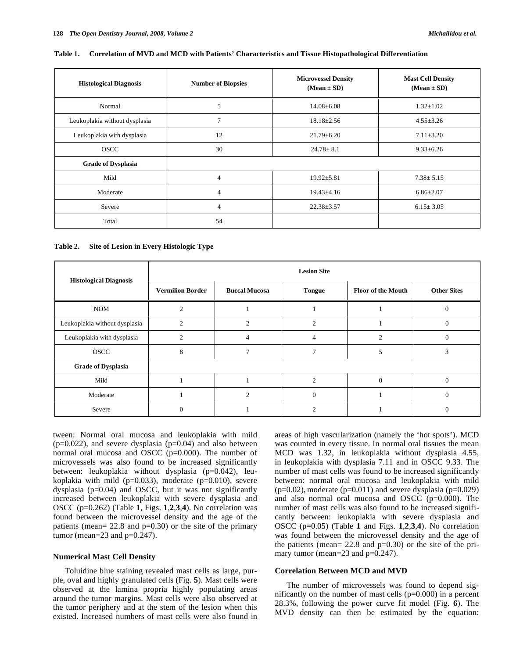#### **Table 1. Correlation of MVD and MCD with Patients' Characteristics and Tissue Histopathological Differentiation**

| <b>Histological Diagnosis</b> | <b>Number of Biopsies</b> | <b>Microvessel Density</b><br>$(Mean \pm SD)$ | <b>Mast Cell Density</b><br>$(Mean \pm SD)$ |  |
|-------------------------------|---------------------------|-----------------------------------------------|---------------------------------------------|--|
| Normal                        | 5                         | $14.08 \pm 6.08$                              | $1.32 \pm 1.02$                             |  |
| Leukoplakia without dysplasia | $\overline{7}$            | $18.18 \pm 2.56$                              | $4.55 \pm 3.26$                             |  |
| Leukoplakia with dysplasia    | 12                        | $21.79 \pm 6.20$                              | $7.11 \pm 3.20$                             |  |
| <b>OSCC</b>                   | 30                        | $24.78 \pm 8.1$                               | $9.33 \pm 6.26$                             |  |
| <b>Grade of Dysplasia</b>     |                           |                                               |                                             |  |
| Mild                          | $\overline{4}$            | $19.92 \pm 5.81$                              | $7.38 \pm 5.15$                             |  |
| Moderate                      | $\overline{4}$            | $19.43{\pm}4.16$                              | $6.86 \pm 2.07$                             |  |
| Severe                        | $\overline{4}$            | $22.38 \pm 3.57$                              | $6.15 \pm 3.05$                             |  |
| Total                         | 54                        |                                               |                                             |  |

**Table 2. Site of Lesion in Every Histologic Type** 

| <b>Histological Diagnosis</b> | <b>Lesion Site</b>      |                      |                             |                           |                    |  |
|-------------------------------|-------------------------|----------------------|-----------------------------|---------------------------|--------------------|--|
|                               | <b>Vermilion Border</b> | <b>Buccal Mucosa</b> | <b>Tongue</b>               | <b>Floor of the Mouth</b> | <b>Other Sites</b> |  |
| <b>NOM</b>                    | 2                       |                      |                             |                           | $\Omega$           |  |
| Leukoplakia without dysplasia | $\mathfrak{D}$          | $\mathfrak{D}$       | $\mathcal{D}_{\mathcal{L}}$ |                           | $\Omega$           |  |
| Leukoplakia with dysplasia    | $\overline{c}$          | 4                    | $\overline{4}$              | $\overline{c}$            | $\Omega$           |  |
| <b>OSCC</b>                   | 8                       |                      |                             |                           | $\mathcal{R}$      |  |
| <b>Grade of Dysplasia</b>     |                         |                      |                             |                           |                    |  |
| Mild                          |                         |                      | $\mathcal{D}$               | $\Omega$                  | $\Omega$           |  |
| Moderate                      |                         |                      |                             |                           | $\Omega$           |  |
| Severe                        | $\overline{0}$          |                      |                             |                           | $\Omega$           |  |

tween: Normal oral mucosa and leukoplakia with mild  $(p=0.022)$ , and severe dysplasia  $(p=0.04)$  and also between normal oral mucosa and OSCC (p=0.000). The number of microvessels was also found to be increased significantly between: leukoplakia without dysplasia (p=0.042), leukoplakia with mild ( $p=0.033$ ), moderate ( $p=0.010$ ), severe dysplasia (p=0.04) and OSCC, but it was not significantly increased between leukoplakia with severe dysplasia and OSCC (p=0.262) (Table **1**, Figs. **1**,**2**,**3**,**4**). No correlation was found between the microvessel density and the age of the patients (mean=  $22.8$  and  $p=0.30$ ) or the site of the primary tumor (mean= $23$  and p= $0.247$ ).

# **Numerical Mast Cell Density**

 Toluidine blue staining revealed mast cells as large, purple, oval and highly granulated cells (Fig. **5**). Mast cells were observed at the lamina propria highly populating areas around the tumor margins. Mast cells were also observed at the tumor periphery and at the stem of the lesion when this existed. Increased numbers of mast cells were also found in areas of high vascularization (namely the 'hot spots'). MCD was counted in every tissue. In normal oral tissues the mean MCD was 1.32, in leukoplakia without dysplasia 4.55, in leukoplakia with dysplasia 7.11 and in OSCC 9.33. The number of mast cells was found to be increased significantly between: normal oral mucosa and leukoplakia with mild  $(p=0.02)$ , moderate  $(p=0.011)$  and severe dysplasia  $(p=0.029)$ and also normal oral mucosa and OSCC (p=0.000). The number of mast cells was also found to be increased significantly between: leukoplakia with severe dysplasia and OSCC (p=0.05) (Table **1** and Figs. **1**,**2**,**3**,**4**). No correlation was found between the microvessel density and the age of the patients (mean=  $22.8$  and  $p=0.30$ ) or the site of the primary tumor (mean=23 and p=0.247).

#### **Correlation Between MCD and MVD**

 The number of microvessels was found to depend significantly on the number of mast cells  $(p=0.000)$  in a percent 28.3%, following the power curve fit model (Fig. **6**). The MVD density can then be estimated by the equation: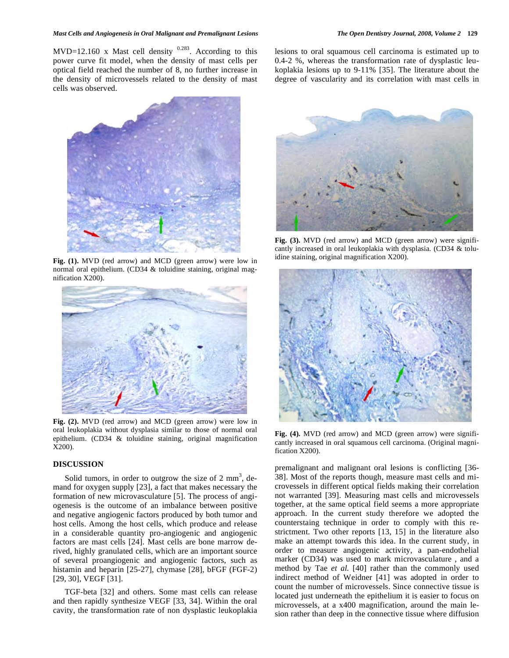MVD=12.160 x Mast cell density  $0.283$ . According to this power curve fit model, when the density of mast cells per optical field reached the number of 8, no further increase in the density of microvessels related to the density of mast cells was observed.

lesions to oral squamous cell carcinoma is estimated up to 0.4-2 %, whereas the transformation rate of dysplastic leukoplakia lesions up to 9-11% [35]. The literature about the degree of vascularity and its correlation with mast cells in



**Fig. (1).** MVD (red arrow) and MCD (green arrow) were low in normal oral epithelium. (CD34 & toluidine staining, original magnification X200).



**Fig. (2).** MVD (red arrow) and MCD (green arrow) were low in oral leukoplakia without dysplasia similar to those of normal oral epithelium. (CD34 & toluidine staining, original magnification X200).

# **DISCUSSION**

Solid tumors, in order to outgrow the size of  $2 \text{ mm}^3$ , demand for oxygen supply [23], a fact that makes necessary the formation of new microvasculature [5]. The process of angiogenesis is the outcome of an imbalance between positive and negative angiogenic factors produced by both tumor and host cells. Among the host cells, which produce and release in a considerable quantity pro-angiogenic and angiogenic factors are mast cells [24]. Mast cells are bone marrow derived, highly granulated cells, which are an important source of several proangiogenic and angiogenic factors, such as histamin and heparin [25-27], chymase [28], bFGF (FGF-2) [29, 30], VEGF [31].

 TGF-beta [32] and others. Some mast cells can release and then rapidly synthesize VEGF [33, 34]. Within the oral cavity, the transformation rate of non dysplastic leukoplakia



**Fig. (3).** MVD (red arrow) and MCD (green arrow) were significantly increased in oral leukoplakia with dysplasia. (CD34 & toluidine staining, original magnification X200).



**Fig. (4).** MVD (red arrow) and MCD (green arrow) were significantly increased in oral squamous cell carcinoma. (Original magnification X200).

premalignant and malignant oral lesions is conflicting [36- 38]. Most of the reports though, measure mast cells and microvessels in different optical fields making their correlation not warranted [39]. Measuring mast cells and microvessels together, at the same optical field seems a more appropriate approach. In the current study therefore we adopted the counterstaing technique in order to comply with this restrictment. Two other reports [13, 15] in the literature also make an attempt towards this idea. In the current study, in order to measure angiogenic activity, a pan-endothelial marker (CD34) was used to mark microvasculature , and a method by Tae *et al.* [40] rather than the commonly used indirect method of Weidner [41] was adopted in order to count the number of microvessels. Since connective tissue is located just underneath the epithelium it is easier to focus on microvessels, at a x400 magnification, around the main lesion rather than deep in the connective tissue where diffusion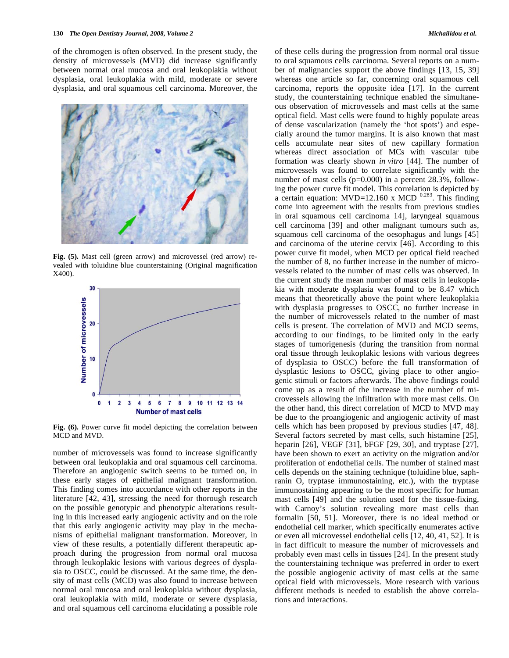of the chromogen is often observed. In the present study, the density of microvessels (MVD) did increase significantly between normal oral mucosa and oral leukoplakia without dysplasia, oral leukoplakia with mild, moderate or severe dysplasia, and oral squamous cell carcinoma. Moreover, the



**Fig. (5).** Mast cell (green arrow) and microvessel (red arrow) revealed with toluidine blue counterstaining (Original magnification X400).



**Fig. (6).** Power curve fit model depicting the correlation between MCD and MVD.

number of microvessels was found to increase significantly between oral leukoplakia and oral squamous cell carcinoma. Therefore an angiogenic switch seems to be turned on, in these early stages of epithelial malignant transformation. This finding comes into accordance with other reports in the literature [42, 43], stressing the need for thorough research on the possible genotypic and phenotypic alterations resulting in this increased early angiogenic activity and on the role that this early angiogenic activity may play in the mechanisms of epithelial malignant transformation. Moreover, in view of these results, a potentially different therapeutic approach during the progression from normal oral mucosa through leukoplakic lesions with various degrees of dysplasia to OSCC, could be discussed. At the same time, the density of mast cells (MCD) was also found to increase between normal oral mucosa and oral leukoplakia without dysplasia, oral leukoplakia with mild, moderate or severe dysplasia, and oral squamous cell carcinoma elucidating a possible role of these cells during the progression from normal oral tissue to oral squamous cells carcinoma. Several reports on a number of malignancies support the above findings [13, 15, 39] whereas one article so far, concerning oral squamous cell carcinoma, reports the opposite idea [17]. In the current study, the counterstaining technique enabled the simultaneous observation of microvessels and mast cells at the same optical field. Mast cells were found to highly populate areas of dense vascularization (namely the 'hot spots') and especially around the tumor margins. It is also known that mast cells accumulate near sites of new capillary formation whereas direct association of MCs with vascular tube formation was clearly shown *in vitro* [44]. The number of microvessels was found to correlate significantly with the number of mast cells (p=0.000) in a percent 28.3%, following the power curve fit model. This correlation is depicted by a certain equation: MVD=12.160 x MCD  $^{0.283}$ . This finding come into agreement with the results from previous studies in oral squamous cell carcinoma 14], laryngeal squamous cell carcinoma [39] and other malignant tumours such as, squamous cell carcinoma of the oesophagus and lungs [45] and carcinoma of the uterine cervix [46]. According to this power curve fit model, when MCD per optical field reached the number of 8, no further increase in the number of microvessels related to the number of mast cells was observed. In the current study the mean number of mast cells in leukoplakia with moderate dysplasia was found to be 8.47 which means that theoretically above the point where leukoplakia with dysplasia progresses to OSCC, no further increase in the number of microvessels related to the number of mast cells is present. The correlation of MVD and MCD seems, according to our findings, to be limited only in the early stages of tumorigenesis (during the transition from normal oral tissue through leukoplakic lesions with various degrees of dysplasia to OSCC) before the full transformation of dysplastic lesions to OSCC, giving place to other angiogenic stimuli or factors afterwards. The above findings could come up as a result of the increase in the number of microvessels allowing the infiltration with more mast cells. On the other hand, this direct correlation of MCD to MVD may be due to the proangiogenic and angiogenic activity of mast cells which has been proposed by previous studies [47, 48]. Several factors secreted by mast cells, such histamine [25], heparin [26], VEGF [31], bFGF [29, 30], and tryptase [27], have been shown to exert an activity on the migration and/or proliferation of endothelial cells. The number of stained mast cells depends on the staining technique (toluidine blue, saphranin O, tryptase immunostaining, etc.), with the tryptase immunostaining appearing to be the most specific for human mast cells [49] and the solution used for the tissue-fixing, with Carnoy's solution revealing more mast cells than formalin [50, 51]. Moreover, there is no ideal method or endothelial cell marker, which specifically enumerates active or even all microvessel endothelial cells [12, 40, 41, 52]. It is in fact difficult to measure the number of microvessels and probably even mast cells in tissues [24]. In the present study the counterstaining technique was preferred in order to exert the possible angiogenic activity of mast cells at the same optical field with microvessels. More research with various different methods is needed to establish the above correlations and interactions.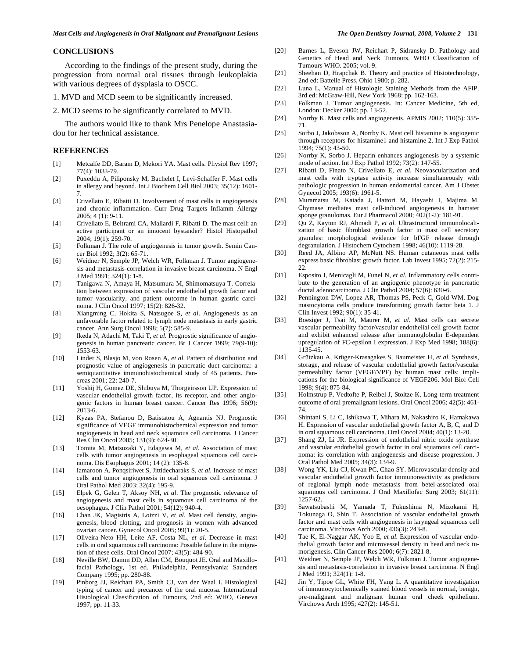# **CONCLUSIONS**

 According to the findings of the present study, during the progression from normal oral tissues through leukoplakia with various degrees of dysplasia to OSCC.

1. MVD and MCD seem to be significantly increased.

2. MCD seems to be significantly correlated to MVD.

 The authors would like to thank Mrs Penelope Anastasiadou for her technical assistance.

## **REFERENCES**

- [1] Metcalfe DD, Baram D, Mekori YA. Mast cells. Physiol Rev 1997; 77(4): 1033-79.
- [2] Puxeddu A, Piliponsky M, Bachelet I, Levi-Schaffer F. Mast cells in allergy and beyond. Int J Biochem Cell Biol 2003; 35(12): 1601- 7.
- [3] Crivellato E, Ribatti D. Involvement of mast cells in angiogenesis and chronic inflammation. Curr Drug Targets Inflamm Allergy 2005; 4 (1): 9-11.
- [4] Crivellato E, Beltrami CA, Mallardi F, Ribatti D. The mast cell: an active participant or an innocent bystander? Histol Histopathol 2004; 19(1): 259-70.
- [5] Folkman J. The role of angiogenesis in tumor growth. Semin Cancer Biol 1992; 3(2): 65-71.
- [6] Weidner N, Semple JP, Welch WR, Folkman J. Tumor angiogenesis and metastasis-correlation in invasive breast carcinoma. N Engl J Med 1991; 324(1): 1-8.
- [7] Tanigawa N, Amaya H, Matsumura M, Shimomatsuya T. Correlation between expression of vascular endothelial growth factor and tumor vascularity, and patient outcome in human gastric carcinoma. J Clin Oncol 1997; 15(2): 826-32.
- [8] Xiangming C, Hokita S, Natsugoe S*, et al*. Angiogenesis as an unfavorable factor related to lymph node metastasis in early gastric cancer. Ann Surg Oncol 1998; 5(7): 585-9.
- [9] Ikeda N, Adachi M, Taki T, *et al.* Prognostic significance of angiogenesis in human pancreatic cancer. Br J Cancer 1999; 79(9-10): 1553-63.
- [10] Linder S, Blasjo M, von Rosen A*, et al*. Pattern of distribution and prognostic value of angiogenesis in pancreatic duct carcinoma: a semiquantitative immunohistochemical study of 45 patients. Pancreas 2001; 22: 240-7.
- [11] Yoshij H, Gomez DE, Shibuya M, Thorgeirsson UP. Expression of vascular endothelial growth factor, its receptor, and other angiogenic factors in human breast cancer. Cancer Res 1996; 56(9): 2013-6.
- [12] Kyzas PA, Stefanou D, Batistatou A, Agnantis NJ. Prognostic significance of VEGF immunohistochemical expression and tumor angiogenesis in head and neck squamous cell carcinoma. J Cancer Res Clin Oncol 2005; 131(9): 624-30.
- [13] Tomita M, Matsuzaki Y, Edagawa M*, et al.* Association of mast cells with tumor angiogenesis in esophageal squamous cell carcinoma. Dis Esophagus 2001; 14 (2): 135-8.
- [14] Iamaroon A, Ponqsiriwet S, Jittidecharaks S, *et al*. Increase of mast cells and tumor angiogenesis in oral squamous cell carcinoma. J Oral Pathol Med 2003; 32(4): 195-9.
- [15] Elpek G, Gelen T, Aksoy NH, *et al*. The prognostic relevance of angiogenesis and mast cells in squamous cell carcinoma of the oesophagus. J Clin Pathol 2001; 54(12): 940-4.
- [16] Chan JK, Magistris A, Loizzi V, *et al*. Mast cell density, angiogenesis, blood clotting, and prognosis in women with advanced ovarian cancer. Gynecol Oncol 2005; 99(1): 20-5.
- [17] Oliveira-Neto HH, Leite AF, Costa NL, *et al*. Decrease in mast cells in oral squamous cell carcinoma: Possible failure in the migration of these cells. Oral Oncol 2007; 43(5): 484-90.
- [18] Neville BW, Damm DD, Allen CM, Bouquot JE. Oral and Maxillofacial Pathology, 1st ed. Philadelphia, Pennsylvania: Saunders Company 1995; pp. 280-88.
- [19] Pinborg JJ, Reichart PA, Smith CJ, van der Waal I. Histological typing of cancer and precancer of the oral mucosa. International Histological Classification of Tumours, 2nd ed: WHO, Geneva 1997; pp. 11-33.
- [20] Barnes L, Eveson JW, Reichart P, Sidransky D. Pathology and Genetics of Head and Neck Tumours. WHO Classification of Tumours WHO. 2005; vol. 9.
- [21] Sheehan D, Hrapchak B. Theory and practice of Histotechnology, 2nd ed: Battelle Press, Ohio 1980; p. 282.
- [22] Luna L, Manual of Histologic Staining Methods from the AFIP, 3rd ed: McGraw-Hill, New York 1968; pp. 162-163.
- [23] Folkman J. Tumor angiogenesis. In: Cancer Medicine, 5th ed, London: Decker 2000; pp. 13-52.
- [24] Norrby K. Mast cells and angiogenesis. APMIS 2002; 110(5): 355-71.
- [25] Sorbo J, Jakobsson A, Norrby K. Mast cell histamine is angiogenic through receptors for histamine1 and histamine 2. Int J Exp Pathol 1994; 75(1): 43-50.
- [26] Norrby K, Sorbo J. Heparin enhances angiogenesis by a systemic mode of action. Int J Exp Pathol 1992; 73(2): 147-55.
- [27] Ribatti D, Finato N, Crivellato E, *et al.* Neovascularization and mast cells with tryptase activity increase simultaneously with pathologic progression in human endometrial cancer. Am J Obstet Gynecol 2005; 193(6): 1961-5.
- [28] Muramatsu M, Katada J, Hattori M, Hayashi I, Majima M. Chymase mediates mast cell-induced angiogenesis in hamster sponge granulomas. Eur J Pharmacol 2000; 402(1-2): 181-91.
- [29] Qu Z, Kayton RJ, Ahmadi P*, et al*. Ultrastructural immunolocalization of basic fibroblast growth factor in mast cell secretory granules: morphological evidence for bFGF release through degranulation. J Histochem Cytochem 1998; 46(10): 1119-28.
- [30] Reed JA, Albino AP, McNutt NS. Human cutaneous mast cells express basic fibroblast growth factor. Lab Invest 1995; 72(2): 215- 22.
- [31] Esposito I, Menicagli M, Funel N, *et al*. Inflammatory cells contribute to the generation of an angiogenic phenotype in pancreatic ductal adenocarcinoma. J Clin Pathol 2004; 57(6): 630-6.
- [32] Pennington DW, Lopez AR, Thomas PS, Peck C, Gold WM. Dog mastocytoma cells produce transforming growth factor beta 1. J Clin Invest 1992; 90(1): 35-41.
- [33] Boesiger J, Tsai M, Maurer M, *et al.* Mast cells can secrete vascular permeability factor/vascular endothelial cell growth factor and exhibit enhanced release after immunoglobulin E-dependent upregulation of FC-epsilon I expression. J Exp Med 1998; 188(6): 1135-45.
- [34] Grützkau A, Krüger-Krasagakes S, Baumeister H, *et al*. Synthesis, storage, and release of vascular endothelial growth factor/vascular permeability factor (VEGF/VPF) by human mast cells: implications for the biological significance of VEGF206. Mol Biol Cell 1998; 9(4): 875-84.
- [35] Holmstrup P, Vedtofte P, Reibel J, Stoltze K. Long-term treatment outcome of oral premalignant lesions. Oral Oncol 2006; 42(5): 461- 74.
- [36] Shintani S, Li C, Ishikawa T, Mihara M, Nakashiro K, Hamakawa H. Expression of vascular endothelial growth factor A, B, C, and D in oral squamous cell carcinoma. Oral Oncol 2004; 40(1): 13-20.
- [37] Shang ZJ, Li JR. Expression of endothelial nitric oxide synthase and vascular endothelial growth factor in oral squamous cell carcinoma: its correlation with angiogenesis and disease progression. J Oral Pathol Med 2005; 34(3): 134-9.
- [38] Wong YK, Liu CJ, Kwan PC, Chao SY. Microvascular density and vascular endothelial growth factor immunoreactivity as predictors of regional lymph node metastasis from betel-associated oral squamous cell carcinoma. J Oral Maxillofac Surg 2003; 61(11): 1257-62.
- [39] Sawatsubashi M, Yamada T, Fukushima N, Mizokami H, Tokunaga O, Shin T. Association of vascular endothelial growth factor and mast cells with angiogenesis in laryngeal squamous cell carcinoma. Virchows Arch 2000; 436(3): 243-8.
- [40] Tae K, El-Naggar AK, Yoo E, *et al*. Expression of vascular endothelial growth factor and microvessel density in head and neck tumorigenesis. Clin Cancer Res 2000; 6(7): 2821-8.
- [41] Weidner N, Semple JP, Welch WR, Folkman J. Tumor angiogenesis and metastasis-correlation in invasive breast carcinoma. N Engl J Med 1991; 324(1): 1-8.
- [42] Jin Y, Tipoe GL, White FH, Yang L. A quantitative investigation of immunocytochemically stained blood vessels in normal, benign, pre-malignant and malignant human oral cheek epithelium. Virchows Arch 1995; 427(2): 145-51.